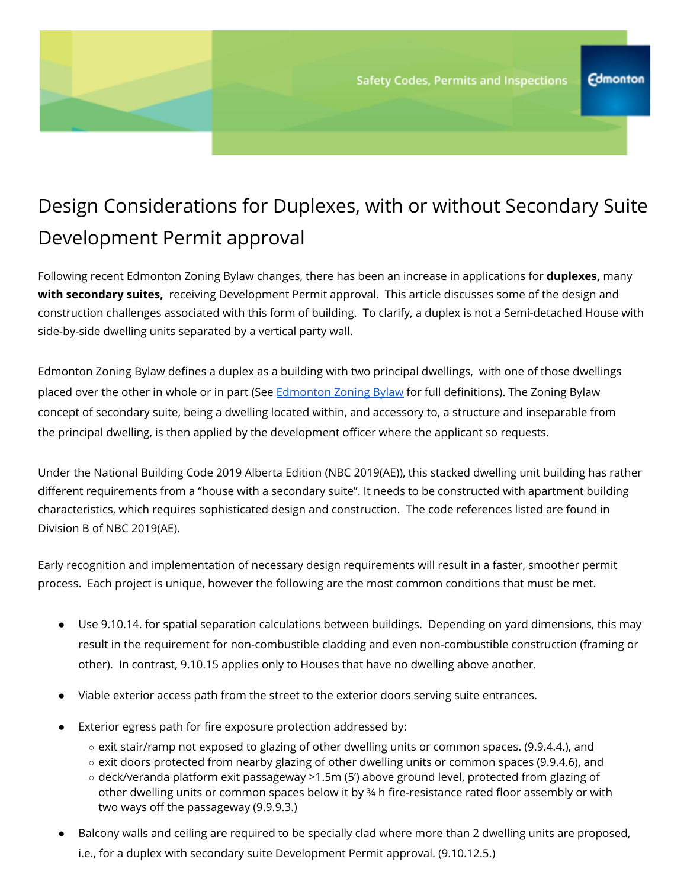## Design Considerations for Duplexes, with or without Secondary Suite Development Permit approval

Following recent Edmonton Zoning Bylaw changes, there has been an increase in applications for **duplexes,** many **with secondary suites,** receiving Development Permit approval. This article discusses some of the design and construction challenges associated with this form of building. To clarify, a duplex is not a Semi-detached House with side-by-side dwelling units separated by a vertical party wall.

Edmonton Zoning Bylaw defines a duplex as a building with two principal dwellings, with one of those dwellings placed over the other in whole or in part (See [Edmonton](https://www.edmonton.ca/city_government/bylaws/zoning-bylaw.aspx) Zoning Bylaw for full definitions). The Zoning Bylaw concept of secondary suite, being a dwelling located within, and accessory to, a structure and inseparable from the principal dwelling, is then applied by the development officer where the applicant so requests.

Under the National Building Code 2019 Alberta Edition (NBC 2019(AE)), this stacked dwelling unit building has rather different requirements from a "house with a secondary suite". It needs to be constructed with apartment building characteristics, which requires sophisticated design and construction. The code references listed are found in Division B of NBC 2019(AE).

Early recognition and implementation of necessary design requirements will result in a faster, smoother permit process. Each project is unique, however the following are the most common conditions that must be met.

- Use 9.10.14. for spatial separation calculations between buildings. Depending on yard dimensions, this may result in the requirement for non-combustible cladding and even non-combustible construction (framing or other). In contrast, 9.10.15 applies only to Houses that have no dwelling above another.
- Viable exterior access path from the street to the exterior doors serving suite entrances.
- Exterior egress path for fire exposure protection addressed by:
	- $\circ$  exit stair/ramp not exposed to glazing of other dwelling units or common spaces. (9.9.4.4.), and
	- exit doors protected from nearby glazing of other dwelling units or common spaces (9.9.4.6), and
	- deck/veranda platform exit passageway >1.5m (5') above ground level, protected from glazing of other dwelling units or common spaces below it by ¾ h fire-resistance rated floor assembly or with two ways off the passageway (9.9.9.3.)
- Balcony walls and ceiling are required to be specially clad where more than 2 dwelling units are proposed, i.e., for a duplex with secondary suite Development Permit approval. (9.10.12.5.)